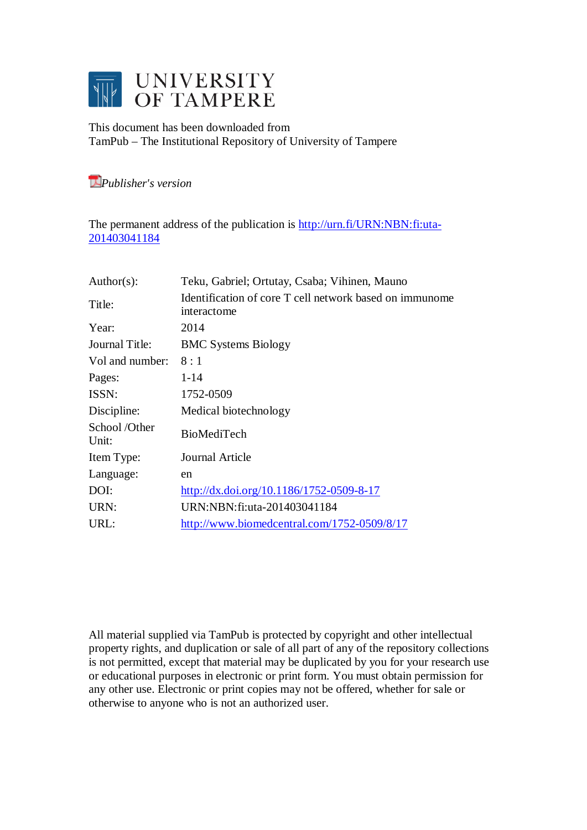

This document has been downloaded from TamPub – The Institutional Repository of University of Tampere

*[P](http://tampub.uta.fi/english/haekokoversio.php?id=1007)ublisher's version* 

The permanent address of the publication is [http://urn.fi/URN:NBN:fi:uta-](http://urn.fi/URN:NBN:fi:uta-201403041184)[201403041184](http://urn.fi/URN:NBN:fi:uta-201403041184)

| $Author(s)$ :         | Teku, Gabriel; Ortutay, Csaba; Vihinen, Mauno                          |
|-----------------------|------------------------------------------------------------------------|
| Title:                | Identification of core T cell network based on immunome<br>interactome |
| Year:                 | 2014                                                                   |
| Journal Title:        | <b>BMC Systems Biology</b>                                             |
| Vol and number:       | 8:1                                                                    |
| Pages:                | $1 - 14$                                                               |
| ISSN:                 | 1752-0509                                                              |
| Discipline:           | Medical biotechnology                                                  |
| School/Other<br>Unit: | BioMediTech                                                            |
| Item Type:            | Journal Article                                                        |
| Language:             | en                                                                     |
| DOI:                  | http://dx.doi.org/10.1186/1752-0509-8-17                               |
| URN:                  | URN:NBN:fi:uta-201403041184                                            |
| URL:                  | http://www.biomedcentral.com/1752-0509/8/17                            |

All material supplied via TamPub is protected by copyright and other intellectual property rights, and duplication or sale of all part of any of the repository collections is not permitted, except that material may be duplicated by you for your research use or educational purposes in electronic or print form. You must obtain permission for any other use. Electronic or print copies may not be offered, whether for sale or otherwise to anyone who is not an authorized user.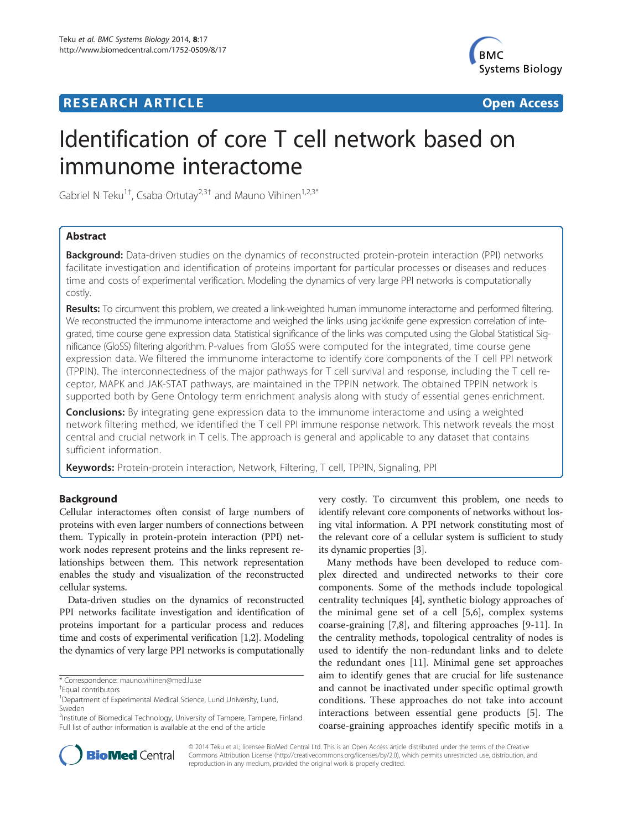# **RESEARCH ARTICLE Example 2014 12:30 THE Open Access**



# Identification of core T cell network based on immunome interactome

Gabriel N Teku<sup>1†</sup>, Csaba Ortutay<sup>2,3†</sup> and Mauno Vihinen<sup>1,2,3\*</sup>

# Abstract

**Background:** Data-driven studies on the dynamics of reconstructed protein-protein interaction (PPI) networks facilitate investigation and identification of proteins important for particular processes or diseases and reduces time and costs of experimental verification. Modeling the dynamics of very large PPI networks is computationally costly.

Results: To circumvent this problem, we created a link-weighted human immunome interactome and performed filtering. We reconstructed the immunome interactome and weighed the links using jackknife gene expression correlation of integrated, time course gene expression data. Statistical significance of the links was computed using the Global Statistical Significance (GloSS) filtering algorithm. P-values from GloSS were computed for the integrated, time course gene expression data. We filtered the immunome interactome to identify core components of the T cell PPI network (TPPIN). The interconnectedness of the major pathways for T cell survival and response, including the T cell receptor, MAPK and JAK-STAT pathways, are maintained in the TPPIN network. The obtained TPPIN network is supported both by Gene Ontology term enrichment analysis along with study of essential genes enrichment.

**Conclusions:** By integrating gene expression data to the immunome interactome and using a weighted network filtering method, we identified the T cell PPI immune response network. This network reveals the most central and crucial network in T cells. The approach is general and applicable to any dataset that contains sufficient information.

Keywords: Protein-protein interaction, Network, Filtering, T cell, TPPIN, Signaling, PPI

## Background

Cellular interactomes often consist of large numbers of proteins with even larger numbers of connections between them. Typically in protein-protein interaction (PPI) network nodes represent proteins and the links represent relationships between them. This network representation enables the study and visualization of the reconstructed cellular systems.

Data-driven studies on the dynamics of reconstructed PPI networks facilitate investigation and identification of proteins important for a particular process and reduces time and costs of experimental verification [\[1,2](#page-13-0)]. Modeling the dynamics of very large PPI networks is computationally

very costly. To circumvent this problem, one needs to identify relevant core components of networks without losing vital information. A PPI network constituting most of the relevant core of a cellular system is sufficient to study its dynamic properties [\[3\]](#page-13-0).

Many methods have been developed to reduce complex directed and undirected networks to their core components. Some of the methods include topological centrality techniques [\[4](#page-13-0)], synthetic biology approaches of the minimal gene set of a cell [\[5,6](#page-13-0)], complex systems coarse-graining [\[7,8](#page-13-0)], and filtering approaches [[9-11\]](#page-13-0). In the centrality methods, topological centrality of nodes is used to identify the non-redundant links and to delete the redundant ones [[11\]](#page-13-0). Minimal gene set approaches aim to identify genes that are crucial for life sustenance and cannot be inactivated under specific optimal growth conditions. These approaches do not take into account interactions between essential gene products [[5\]](#page-13-0). The coarse-graining approaches identify specific motifs in a



© 2014 Teku et al.; licensee BioMed Central Ltd. This is an Open Access article distributed under the terms of the Creative Commons Attribution License [\(http://creativecommons.org/licenses/by/2.0\)](http://creativecommons.org/licenses/by/2.0), which permits unrestricted use, distribution, and reproduction in any medium, provided the original work is properly credited.

<sup>\*</sup> Correspondence: [mauno.vihinen@med.lu.se](mailto:mauno.vihinen@med.lu.se) †

Equal contributors

<sup>&</sup>lt;sup>1</sup>Department of Experimental Medical Science, Lund University, Lund, Sweden

<sup>&</sup>lt;sup>2</sup>Institute of Biomedical Technology, University of Tampere, Tampere, Finland Full list of author information is available at the end of the article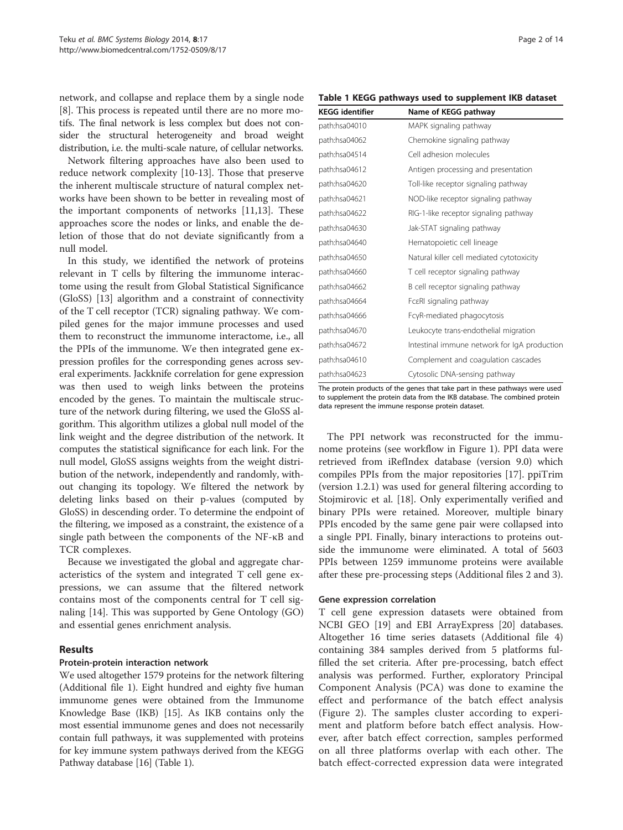<span id="page-2-0"></span>network, and collapse and replace them by a single node [[8\]](#page-13-0). This process is repeated until there are no more motifs. The final network is less complex but does not consider the structural heterogeneity and broad weight distribution, i.e. the multi-scale nature, of cellular networks.

Network filtering approaches have also been used to reduce network complexity [\[10-13](#page-13-0)]. Those that preserve the inherent multiscale structure of natural complex networks have been shown to be better in revealing most of the important components of networks [\[11,13\]](#page-13-0). These approaches score the nodes or links, and enable the deletion of those that do not deviate significantly from a null model.

In this study, we identified the network of proteins relevant in T cells by filtering the immunome interactome using the result from Global Statistical Significance (GloSS) [\[13](#page-13-0)] algorithm and a constraint of connectivity of the T cell receptor (TCR) signaling pathway. We compiled genes for the major immune processes and used them to reconstruct the immunome interactome, i.e., all the PPIs of the immunome. We then integrated gene expression profiles for the corresponding genes across several experiments. Jackknife correlation for gene expression was then used to weigh links between the proteins encoded by the genes. To maintain the multiscale structure of the network during filtering, we used the GloSS algorithm. This algorithm utilizes a global null model of the link weight and the degree distribution of the network. It computes the statistical significance for each link. For the null model, GloSS assigns weights from the weight distribution of the network, independently and randomly, without changing its topology. We filtered the network by deleting links based on their p-values (computed by GloSS) in descending order. To determine the endpoint of the filtering, we imposed as a constraint, the existence of a single path between the components of the NF-κB and TCR complexes.

Because we investigated the global and aggregate characteristics of the system and integrated T cell gene expressions, we can assume that the filtered network contains most of the components central for T cell signaling [\[14\]](#page-13-0). This was supported by Gene Ontology (GO) and essential genes enrichment analysis.

#### Results

#### Protein-protein interaction network

We used altogether 1579 proteins for the network filtering (Additional file [1\)](#page-12-0). Eight hundred and eighty five human immunome genes were obtained from the Immunome Knowledge Base (IKB) [[15](#page-13-0)]. As IKB contains only the most essential immunome genes and does not necessarily contain full pathways, it was supplemented with proteins for key immune system pathways derived from the KEGG Pathway database [[16](#page-13-0)] (Table 1).

#### Table 1 KEGG pathways used to supplement IKB dataset

| <b>KEGG identifier</b> | Name of KEGG pathway                         |
|------------------------|----------------------------------------------|
| path:hsa04010          | MAPK signaling pathway                       |
| path:hsa04062          | Chemokine signaling pathway                  |
| path:hsa04514          | Cell adhesion molecules                      |
| path:hsa04612          | Antigen processing and presentation          |
| path:hsa04620          | Toll-like receptor signaling pathway         |
| path:hsa04621          | NOD-like receptor signaling pathway          |
| path:hsa04622          | RIG-1-like receptor signaling pathway        |
| path:hsa04630          | Jak-STAT signaling pathway                   |
| path:hsa04640          | Hematopoietic cell lineage                   |
| path:hsa04650          | Natural killer cell mediated cytotoxicity    |
| path:hsa04660          | T cell receptor signaling pathway            |
| path:hsa04662          | B cell receptor signaling pathway            |
| path:hsa04664          | Fc ERI signaling pathway                     |
| path:hsa04666          | FcyR-mediated phagocytosis                   |
| path:hsa04670          | Leukocyte trans-endothelial migration        |
| path:hsa04672          | Intestinal immune network for IgA production |
| path:hsa04610          | Complement and coagulation cascades          |
| path:hsa04623          | Cytosolic DNA-sensing pathway                |

The protein products of the genes that take part in these pathways were used to supplement the protein data from the IKB database. The combined protein data represent the immune response protein dataset.

The PPI network was reconstructed for the immunome proteins (see workflow in Figure [1\)](#page-3-0). PPI data were retrieved from iRefIndex database (version 9.0) which compiles PPIs from the major repositories [\[17](#page-13-0)]. ppiTrim (version 1.2.1) was used for general filtering according to Stojmirovic et al. [[18\]](#page-13-0). Only experimentally verified and binary PPIs were retained. Moreover, multiple binary PPIs encoded by the same gene pair were collapsed into a single PPI. Finally, binary interactions to proteins outside the immunome were eliminated. A total of 5603 PPIs between 1259 immunome proteins were available after these pre-processing steps (Additional files [2](#page-12-0) and [3](#page-12-0)).

#### Gene expression correlation

T cell gene expression datasets were obtained from NCBI GEO [\[19\]](#page-13-0) and EBI ArrayExpress [\[20\]](#page-13-0) databases. Altogether 16 time series datasets (Additional file [4](#page-12-0)) containing 384 samples derived from 5 platforms fulfilled the set criteria. After pre-processing, batch effect analysis was performed. Further, exploratory Principal Component Analysis (PCA) was done to examine the effect and performance of the batch effect analysis (Figure [2\)](#page-4-0). The samples cluster according to experiment and platform before batch effect analysis. However, after batch effect correction, samples performed on all three platforms overlap with each other. The batch effect-corrected expression data were integrated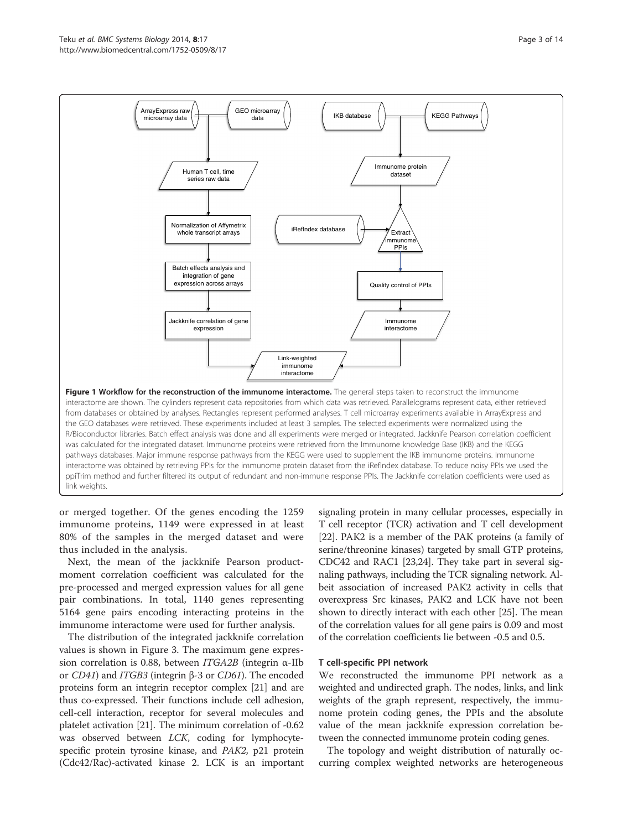<span id="page-3-0"></span>

link weights.

or merged together. Of the genes encoding the 1259 immunome proteins, 1149 were expressed in at least 80% of the samples in the merged dataset and were thus included in the analysis.

Next, the mean of the jackknife Pearson productmoment correlation coefficient was calculated for the pre-processed and merged expression values for all gene pair combinations. In total, 1140 genes representing 5164 gene pairs encoding interacting proteins in the immunome interactome were used for further analysis.

The distribution of the integrated jackknife correlation values is shown in Figure [3.](#page-4-0) The maximum gene expression correlation is 0.88, between  $ITGA2B$  (integrin α-IIb or CD41) and ITGB3 (integrin β-3 or CD61). The encoded proteins form an integrin receptor complex [\[21\]](#page-13-0) and are thus co-expressed. Their functions include cell adhesion, cell-cell interaction, receptor for several molecules and platelet activation [[21](#page-13-0)]. The minimum correlation of -0.62 was observed between LCK, coding for lymphocytespecific protein tyrosine kinase, and PAK2, p21 protein (Cdc42/Rac)-activated kinase 2. LCK is an important signaling protein in many cellular processes, especially in T cell receptor (TCR) activation and T cell development [[22](#page-13-0)]. PAK2 is a member of the PAK proteins (a family of serine/threonine kinases) targeted by small GTP proteins, CDC42 and RAC1 [\[23,24](#page-13-0)]. They take part in several signaling pathways, including the TCR signaling network. Albeit association of increased PAK2 activity in cells that overexpress Src kinases, PAK2 and LCK have not been shown to directly interact with each other [[25](#page-13-0)]. The mean of the correlation values for all gene pairs is 0.09 and most of the correlation coefficients lie between -0.5 and 0.5.

#### T cell-specific PPI network

We reconstructed the immunome PPI network as a weighted and undirected graph. The nodes, links, and link weights of the graph represent, respectively, the immunome protein coding genes, the PPIs and the absolute value of the mean jackknife expression correlation between the connected immunome protein coding genes.

The topology and weight distribution of naturally occurring complex weighted networks are heterogeneous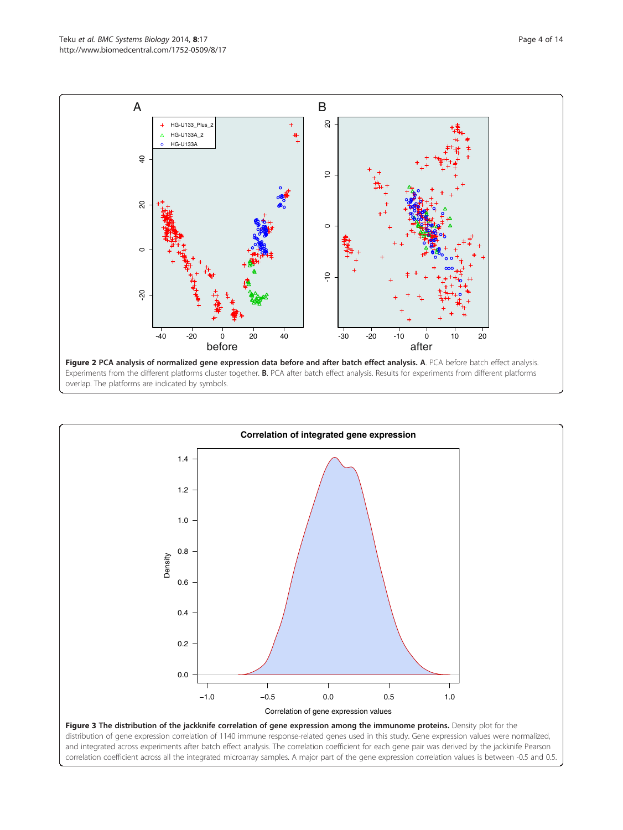<span id="page-4-0"></span>

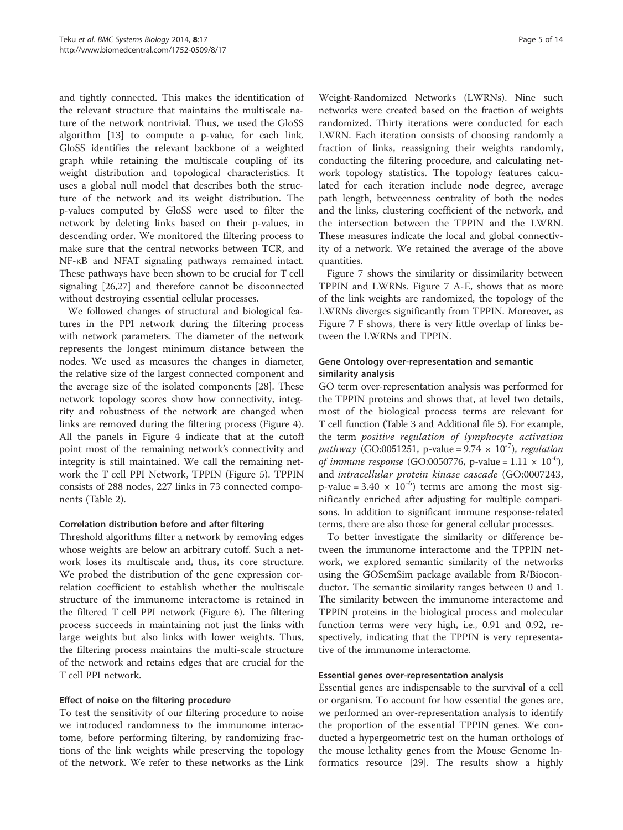and tightly connected. This makes the identification of the relevant structure that maintains the multiscale nature of the network nontrivial. Thus, we used the GloSS algorithm [[13\]](#page-13-0) to compute a p-value, for each link. GloSS identifies the relevant backbone of a weighted graph while retaining the multiscale coupling of its weight distribution and topological characteristics. It uses a global null model that describes both the structure of the network and its weight distribution. The p-values computed by GloSS were used to filter the network by deleting links based on their p-values, in descending order. We monitored the filtering process to make sure that the central networks between TCR, and NF-κB and NFAT signaling pathways remained intact. These pathways have been shown to be crucial for T cell signaling [\[26,27](#page-13-0)] and therefore cannot be disconnected without destroying essential cellular processes.

We followed changes of structural and biological features in the PPI network during the filtering process with network parameters. The diameter of the network represents the longest minimum distance between the nodes. We used as measures the changes in diameter, the relative size of the largest connected component and the average size of the isolated components [\[28](#page-13-0)]. These network topology scores show how connectivity, integrity and robustness of the network are changed when links are removed during the filtering process (Figure [4](#page-6-0)). All the panels in Figure [4](#page-6-0) indicate that at the cutoff point most of the remaining network's connectivity and integrity is still maintained. We call the remaining network the T cell PPI Network, TPPIN (Figure [5](#page-7-0)). TPPIN consists of 288 nodes, 227 links in 73 connected components (Table [2](#page-7-0)).

#### Correlation distribution before and after filtering

Threshold algorithms filter a network by removing edges whose weights are below an arbitrary cutoff. Such a network loses its multiscale and, thus, its core structure. We probed the distribution of the gene expression correlation coefficient to establish whether the multiscale structure of the immunome interactome is retained in the filtered T cell PPI network (Figure [6\)](#page-8-0). The filtering process succeeds in maintaining not just the links with large weights but also links with lower weights. Thus, the filtering process maintains the multi-scale structure of the network and retains edges that are crucial for the T cell PPI network.

# Effect of noise on the filtering procedure

To test the sensitivity of our filtering procedure to noise we introduced randomness to the immunome interactome, before performing filtering, by randomizing fractions of the link weights while preserving the topology of the network. We refer to these networks as the Link

Weight-Randomized Networks (LWRNs). Nine such networks were created based on the fraction of weights randomized. Thirty iterations were conducted for each LWRN. Each iteration consists of choosing randomly a fraction of links, reassigning their weights randomly, conducting the filtering procedure, and calculating network topology statistics. The topology features calculated for each iteration include node degree, average path length, betweenness centrality of both the nodes and the links, clustering coefficient of the network, and the intersection between the TPPIN and the LWRN. These measures indicate the local and global connectivity of a network. We retained the average of the above quantities.

Figure [7](#page-9-0) shows the similarity or dissimilarity between TPPIN and LWRNs. Figure [7](#page-9-0) A-E, shows that as more of the link weights are randomized, the topology of the LWRNs diverges significantly from TPPIN. Moreover, as Figure [7](#page-9-0) F shows, there is very little overlap of links between the LWRNs and TPPIN.

### Gene Ontology over-representation and semantic similarity analysis

GO term over-representation analysis was performed for the TPPIN proteins and shows that, at level two details, most of the biological process terms are relevant for T cell function (Table [3](#page-10-0) and Additional file [5](#page-13-0)). For example, the term positive regulation of lymphocyte activation pathway (GO:0051251, p-value =  $9.74 \times 10^{-7}$ ), regulation of immune response (GO:0050776, p-value =  $1.11 \times 10^{-6}$ ), and intracellular protein kinase cascade (GO:0007243, p-value =  $3.40 \times 10^{-6}$ ) terms are among the most significantly enriched after adjusting for multiple comparisons. In addition to significant immune response-related terms, there are also those for general cellular processes.

To better investigate the similarity or difference between the immunome interactome and the TPPIN network, we explored semantic similarity of the networks using the GOSemSim package available from R/Bioconductor. The semantic similarity ranges between 0 and 1. The similarity between the immunome interactome and TPPIN proteins in the biological process and molecular function terms were very high, i.e., 0.91 and 0.92, respectively, indicating that the TPPIN is very representative of the immunome interactome.

#### Essential genes over-representation analysis

Essential genes are indispensable to the survival of a cell or organism. To account for how essential the genes are, we performed an over-representation analysis to identify the proportion of the essential TPPIN genes. We conducted a hypergeometric test on the human orthologs of the mouse lethality genes from the Mouse Genome Informatics resource [[29\]](#page-13-0). The results show a highly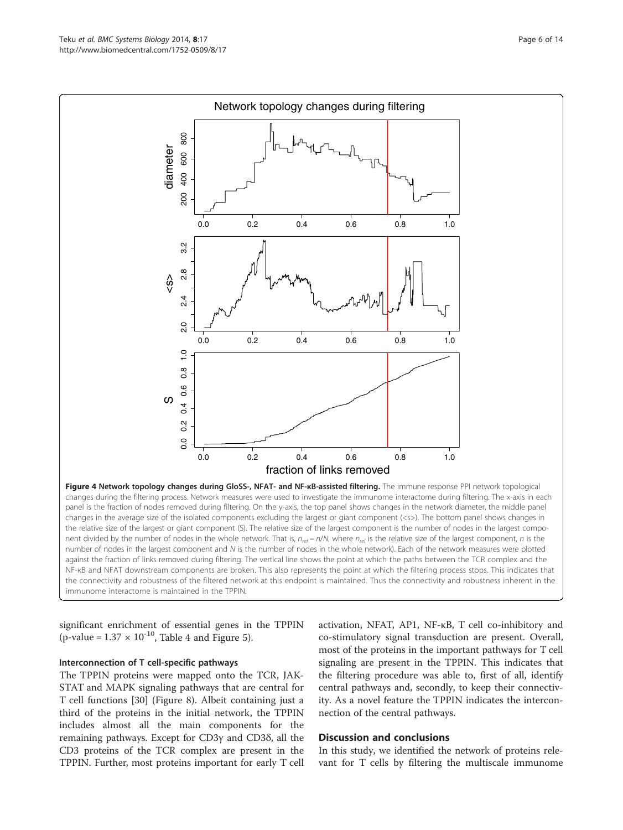<span id="page-6-0"></span>

significant enrichment of essential genes in the TPPIN (p-value =  $1.37 \times 10^{-10}$ , Table [4](#page-10-0) and Figure [5\)](#page-7-0).

#### Interconnection of T cell-specific pathways

The TPPIN proteins were mapped onto the TCR, JAK-STAT and MAPK signaling pathways that are central for T cell functions [[30\]](#page-13-0) (Figure [8](#page-11-0)). Albeit containing just a third of the proteins in the initial network, the TPPIN includes almost all the main components for the remaining pathways. Except for CD3γ and CD3δ, all the CD3 proteins of the TCR complex are present in the TPPIN. Further, most proteins important for early T cell activation, NFAT, AP1, NF-κB, T cell co-inhibitory and co-stimulatory signal transduction are present. Overall, most of the proteins in the important pathways for T cell signaling are present in the TPPIN. This indicates that the filtering procedure was able to, first of all, identify central pathways and, secondly, to keep their connectivity. As a novel feature the TPPIN indicates the interconnection of the central pathways.

#### Discussion and conclusions

In this study, we identified the network of proteins relevant for T cells by filtering the multiscale immunome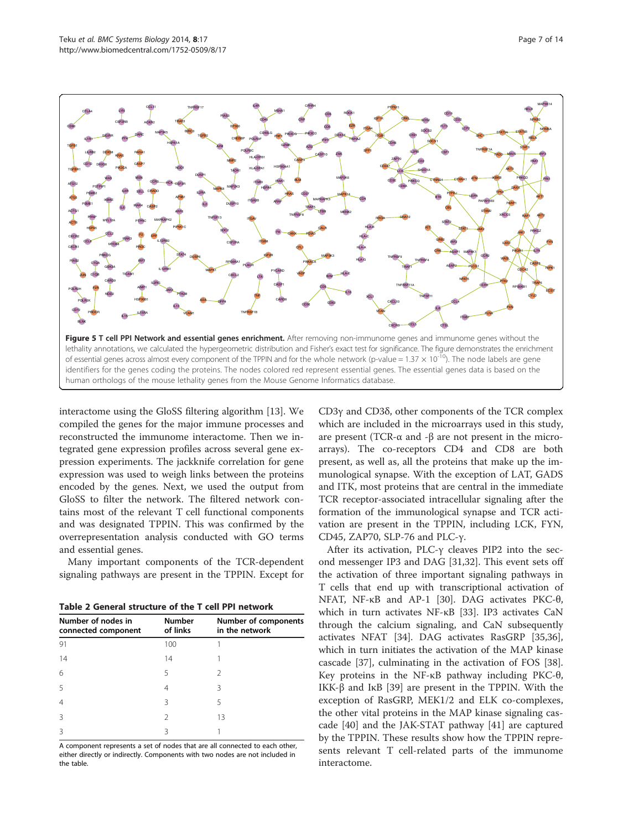<span id="page-7-0"></span>

interactome using the GloSS filtering algorithm [\[13\]](#page-13-0). We compiled the genes for the major immune processes and reconstructed the immunome interactome. Then we integrated gene expression profiles across several gene expression experiments. The jackknife correlation for gene expression was used to weigh links between the proteins encoded by the genes. Next, we used the output from GloSS to filter the network. The filtered network contains most of the relevant T cell functional components and was designated TPPIN. This was confirmed by the overrepresentation analysis conducted with GO terms and essential genes.

Many important components of the TCR-dependent signaling pathways are present in the TPPIN. Except for

| Table 2 General structure of the T cell PPI network |  |  |  |  |
|-----------------------------------------------------|--|--|--|--|
|-----------------------------------------------------|--|--|--|--|

| Number of nodes in<br>connected component | <b>Number</b><br>of links | Number of components<br>in the network |  |  |
|-------------------------------------------|---------------------------|----------------------------------------|--|--|
| 91                                        | 100                       |                                        |  |  |
| 14                                        | 14                        |                                        |  |  |
| 6                                         | 5                         | 2                                      |  |  |
| -5                                        | 4                         | 3                                      |  |  |
| $\overline{4}$                            | Β                         | 5                                      |  |  |
| 3                                         | 2                         | 13                                     |  |  |
| 3                                         | ੨                         |                                        |  |  |

A component represents a set of nodes that are all connected to each other, either directly or indirectly. Components with two nodes are not included in the table.

CD3γ and CD3δ, other components of the TCR complex which are included in the microarrays used in this study, are present (TCR- $\alpha$  and -β are not present in the microarrays). The co-receptors CD4 and CD8 are both present, as well as, all the proteins that make up the immunological synapse. With the exception of LAT, GADS and ITK, most proteins that are central in the immediate TCR receptor-associated intracellular signaling after the formation of the immunological synapse and TCR activation are present in the TPPIN, including LCK, FYN, CD45, ZAP70, SLP-76 and PLC-γ.

After its activation, PLC-γ cleaves PIP2 into the second messenger IP3 and DAG [\[31,32](#page-13-0)]. This event sets off the activation of three important signaling pathways in T cells that end up with transcriptional activation of NFAT, NF-κB and AP-1 [[30](#page-13-0)]. DAG activates PKC-θ, which in turn activates NF-κB [[33](#page-13-0)]. IP3 activates CaN through the calcium signaling, and CaN subsequently activates NFAT [[34\]](#page-13-0). DAG activates RasGRP [\[35,36](#page-14-0)], which in turn initiates the activation of the MAP kinase cascade [[37\]](#page-14-0), culminating in the activation of FOS [\[38](#page-14-0)]. Key proteins in the NF-κB pathway including PKC-θ, IKK-β and I $KB$  [[39](#page-14-0)] are present in the TPPIN. With the exception of RasGRP, MEK1/2 and ELK co-complexes, the other vital proteins in the MAP kinase signaling cascade [[40\]](#page-14-0) and the JAK-STAT pathway [[41\]](#page-14-0) are captured by the TPPIN. These results show how the TPPIN represents relevant T cell-related parts of the immunome interactome.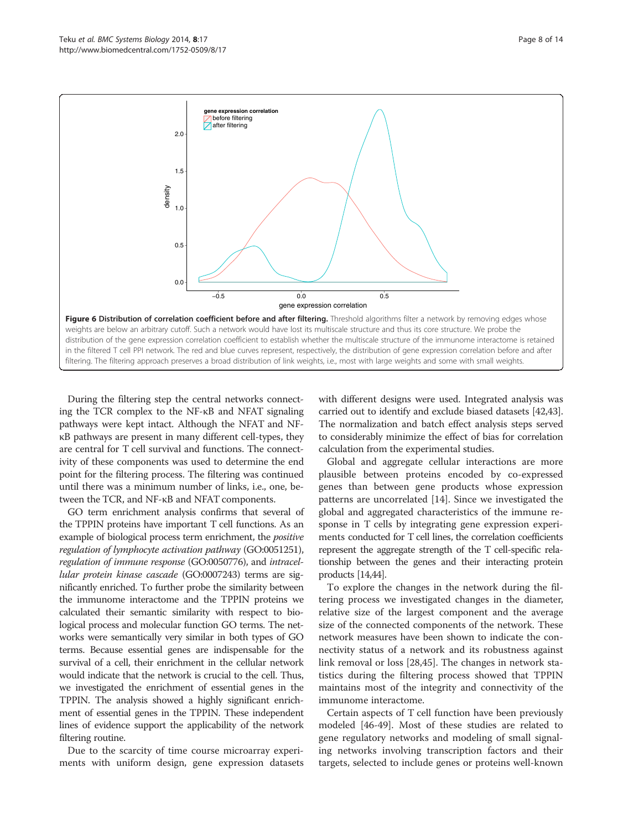<span id="page-8-0"></span>

distribution of the gene expression correlation coefficient to establish whether the multiscale structure of the immunome interactome is retained in the filtered T cell PPI network. The red and blue curves represent, respectively, the distribution of gene expression correlation before and after filtering. The filtering approach preserves a broad distribution of link weights, i.e., most with large weights and some with small weights.

During the filtering step the central networks connecting the TCR complex to the NF-κB and NFAT signaling pathways were kept intact. Although the NFAT and NFκB pathways are present in many different cell-types, they are central for T cell survival and functions. The connectivity of these components was used to determine the end point for the filtering process. The filtering was continued until there was a minimum number of links, i.e., one, between the TCR, and NF-κB and NFAT components.

GO term enrichment analysis confirms that several of the TPPIN proteins have important T cell functions. As an example of biological process term enrichment, the positive regulation of lymphocyte activation pathway (GO:0051251), regulation of immune response (GO:0050776), and intracellular protein kinase cascade (GO:0007243) terms are significantly enriched. To further probe the similarity between the immunome interactome and the TPPIN proteins we calculated their semantic similarity with respect to biological process and molecular function GO terms. The networks were semantically very similar in both types of GO terms. Because essential genes are indispensable for the survival of a cell, their enrichment in the cellular network would indicate that the network is crucial to the cell. Thus, we investigated the enrichment of essential genes in the TPPIN. The analysis showed a highly significant enrichment of essential genes in the TPPIN. These independent lines of evidence support the applicability of the network filtering routine.

Due to the scarcity of time course microarray experiments with uniform design, gene expression datasets with different designs were used. Integrated analysis was carried out to identify and exclude biased datasets [\[42,43](#page-14-0)]. The normalization and batch effect analysis steps served to considerably minimize the effect of bias for correlation calculation from the experimental studies.

Global and aggregate cellular interactions are more plausible between proteins encoded by co-expressed genes than between gene products whose expression patterns are uncorrelated [[14](#page-13-0)]. Since we investigated the global and aggregated characteristics of the immune response in T cells by integrating gene expression experiments conducted for T cell lines, the correlation coefficients represent the aggregate strength of the T cell-specific relationship between the genes and their interacting protein products [\[14,](#page-13-0)[44\]](#page-14-0).

To explore the changes in the network during the filtering process we investigated changes in the diameter, relative size of the largest component and the average size of the connected components of the network. These network measures have been shown to indicate the connectivity status of a network and its robustness against link removal or loss [[28,](#page-13-0)[45\]](#page-14-0). The changes in network statistics during the filtering process showed that TPPIN maintains most of the integrity and connectivity of the immunome interactome.

Certain aspects of T cell function have been previously modeled [[46-49](#page-14-0)]. Most of these studies are related to gene regulatory networks and modeling of small signaling networks involving transcription factors and their targets, selected to include genes or proteins well-known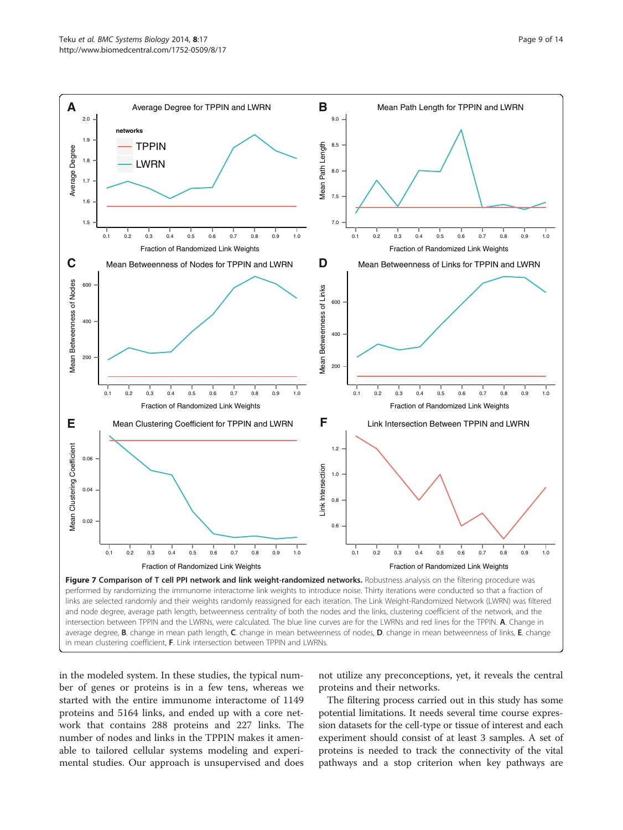in the modeled system. In these studies, the typical number of genes or proteins is in a few tens, whereas we started with the entire immunome interactome of 1149 proteins and 5164 links, and ended up with a core network that contains 288 proteins and 227 links. The number of nodes and links in the TPPIN makes it amenable to tailored cellular systems modeling and experimental studies. Our approach is unsupervised and does not utilize any preconceptions, yet, it reveals the central proteins and their networks.

0.1 0.2 0.3 0.4 0.5 0.6 0.7 0.8 0.9 1.0 Fraction of Randomized Link Weights

Mean Path Length for TPPIN and LWRN

The filtering process carried out in this study has some potential limitations. It needs several time course expression datasets for the cell-type or tissue of interest and each experiment should consist of at least 3 samples. A set of proteins is needed to track the connectivity of the vital pathways and a stop criterion when key pathways are



7.0

7.5

8.0

Mean Path Length

Mean Path Length

**B**

8.5

9.0

**networks**

TPPIN LWRN

0.1 0.2 0.3 0.4 0.5 0.6 0.7 0.8 0.9 1.0 Fraction of Randomized Link Weights

Average Degree for TPPIN and LWRN

1.5 1.6

1.7 1.8 1.9 2.0

Average Degree

Average Degree

<span id="page-9-0"></span>**A**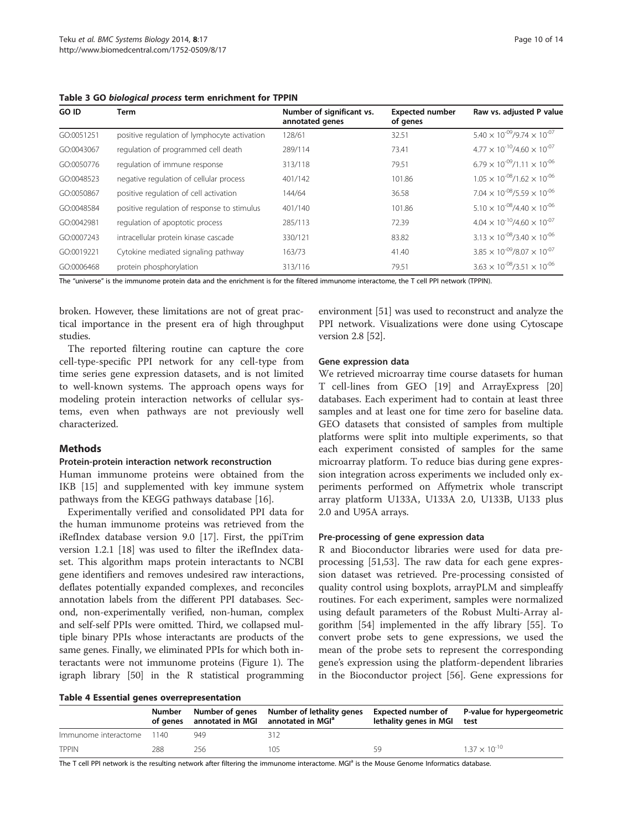| GO ID      | Term                                         | Number of significant vs.<br>annotated genes | <b>Expected number</b><br>of genes | Raw vs. adjusted P value<br>$5.40 \times 10^{-09} / 9.74 \times 10^{-07}$ |  |
|------------|----------------------------------------------|----------------------------------------------|------------------------------------|---------------------------------------------------------------------------|--|
| GO:0051251 | positive regulation of lymphocyte activation | 128/61                                       | 32.51                              |                                                                           |  |
| GO:0043067 | regulation of programmed cell death          | 289/114                                      | 73.41                              | $4.77 \times 10^{-10}$ /4.60 $\times 10^{-07}$                            |  |
| GO:0050776 | regulation of immune response                | 313/118                                      | 79.51                              | $6.79 \times 10^{-09} / 1.11 \times 10^{-06}$                             |  |
| GO:0048523 | negative regulation of cellular process      | 401/142                                      | 101.86                             | $1.05 \times 10^{-08}/1.62 \times 10^{-06}$                               |  |
| GO:0050867 | positive regulation of cell activation       | 144/64                                       | 36.58                              | $7.04 \times 10^{-08}$ /5.59 $\times 10^{-06}$                            |  |
| GO:0048584 | positive regulation of response to stimulus  | 401/140                                      | 101.86                             | $5.10 \times 10^{-08}$ /4.40 $\times 10^{-06}$                            |  |
| GO:0042981 | regulation of apoptotic process              | 285/113                                      | 72.39                              | $4.04 \times 10^{-10}$ /4.60 $\times 10^{-07}$                            |  |
| GO:0007243 | intracellular protein kinase cascade         | 330/121                                      | 83.82                              | $3.13 \times 10^{-08} / 3.40 \times 10^{-06}$                             |  |
| GO:0019221 | Cytokine mediated signaling pathway          | 163/73                                       | 41.40                              | $3.85 \times 10^{-09} / 8.07 \times 10^{-07}$                             |  |
| GO:0006468 | protein phosphorylation                      | 313/116                                      | 79.51                              | $3.63 \times 10^{-08} / 3.51 \times 10^{-06}$                             |  |

<span id="page-10-0"></span>Table 3 GO biological process term enrichment for TPPIN

The "universe" is the immunome protein data and the enrichment is for the filtered immunome interactome, the T cell PPI network (TPPIN).

broken. However, these limitations are not of great practical importance in the present era of high throughput studies.

The reported filtering routine can capture the core cell-type-specific PPI network for any cell-type from time series gene expression datasets, and is not limited to well-known systems. The approach opens ways for modeling protein interaction networks of cellular systems, even when pathways are not previously well characterized.

#### Methods

#### Protein-protein interaction network reconstruction

Human immunome proteins were obtained from the IKB [[15\]](#page-13-0) and supplemented with key immune system pathways from the KEGG pathways database [[16\]](#page-13-0).

Experimentally verified and consolidated PPI data for the human immunome proteins was retrieved from the iRefIndex database version 9.0 [[17\]](#page-13-0). First, the ppiTrim version 1.2.1 [\[18\]](#page-13-0) was used to filter the iRefIndex dataset. This algorithm maps protein interactants to NCBI gene identifiers and removes undesired raw interactions, deflates potentially expanded complexes, and reconciles annotation labels from the different PPI databases. Second, non-experimentally verified, non-human, complex and self-self PPIs were omitted. Third, we collapsed multiple binary PPIs whose interactants are products of the same genes. Finally, we eliminated PPIs for which both interactants were not immunome proteins (Figure [1](#page-3-0)). The igraph library [[50](#page-14-0)] in the R statistical programming

environment [\[51\]](#page-14-0) was used to reconstruct and analyze the PPI network. Visualizations were done using Cytoscape version 2.8 [[52](#page-14-0)].

#### Gene expression data

We retrieved microarray time course datasets for human T cell-lines from GEO [[19](#page-13-0)] and ArrayExpress [[20](#page-13-0)] databases. Each experiment had to contain at least three samples and at least one for time zero for baseline data. GEO datasets that consisted of samples from multiple platforms were split into multiple experiments, so that each experiment consisted of samples for the same microarray platform. To reduce bias during gene expression integration across experiments we included only experiments performed on Affymetrix whole transcript array platform U133A, U133A 2.0, U133B, U133 plus 2.0 and U95A arrays.

#### Pre-processing of gene expression data

R and Bioconductor libraries were used for data preprocessing [\[51,53\]](#page-14-0). The raw data for each gene expression dataset was retrieved. Pre-processing consisted of quality control using boxplots, arrayPLM and simpleaffy routines. For each experiment, samples were normalized using default parameters of the Robust Multi-Array algorithm [[54](#page-14-0)] implemented in the affy library [[55\]](#page-14-0). To convert probe sets to gene expressions, we used the mean of the probe sets to represent the corresponding gene's expression using the platform-dependent libraries in the Bioconductor project [\[56\]](#page-14-0). Gene expressions for

Table 4 Essential genes overrepresentation

|                           | Number<br>of genes |     | Number of genes Number of lethality genes<br>annotated in MGI annotated in MGI <sup>a</sup> | lethality genes in MGI test | Expected number of P-value for hypergeometric |
|---------------------------|--------------------|-----|---------------------------------------------------------------------------------------------|-----------------------------|-----------------------------------------------|
| Immunome interactome 1140 |                    | 949 |                                                                                             |                             |                                               |
| <b>TPPIN</b>              | 288                | 256 | 105                                                                                         | 59                          | $1.37 \times 10^{-10}$                        |

The T cell PPI network is the resulting network after filtering the immunome interactome. MGI<sup>a</sup> is the Mouse Genome Informatics database.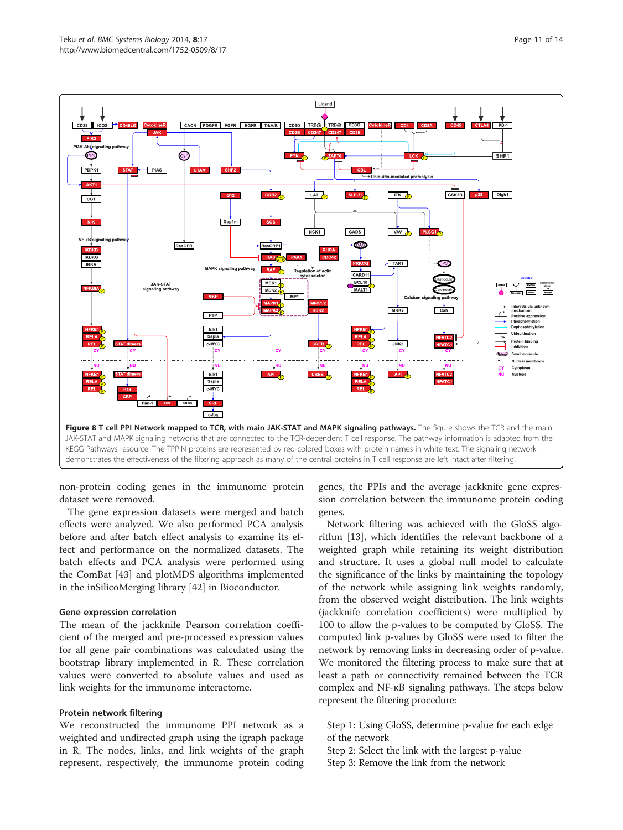<span id="page-11-0"></span>

non-protein coding genes in the immunome protein dataset were removed.

The gene expression datasets were merged and batch effects were analyzed. We also performed PCA analysis before and after batch effect analysis to examine its effect and performance on the normalized datasets. The batch effects and PCA analysis were performed using the ComBat [\[43](#page-14-0)] and plotMDS algorithms implemented in the inSilicoMerging library [[42](#page-14-0)] in Bioconductor.

#### Gene expression correlation

The mean of the jackknife Pearson correlation coefficient of the merged and pre-processed expression values for all gene pair combinations was calculated using the bootstrap library implemented in R. These correlation values were converted to absolute values and used as link weights for the immunome interactome.

#### Protein network filtering

We reconstructed the immunome PPI network as a weighted and undirected graph using the igraph package in R. The nodes, links, and link weights of the graph represent, respectively, the immunome protein coding

genes, the PPIs and the average jackknife gene expression correlation between the immunome protein coding genes.

Network filtering was achieved with the GloSS algorithm [\[13\]](#page-13-0), which identifies the relevant backbone of a weighted graph while retaining its weight distribution and structure. It uses a global null model to calculate the significance of the links by maintaining the topology of the network while assigning link weights randomly, from the observed weight distribution. The link weights (jackknife correlation coefficients) were multiplied by 100 to allow the p-values to be computed by GloSS. The computed link p-values by GloSS were used to filter the network by removing links in decreasing order of p-value. We monitored the filtering process to make sure that at least a path or connectivity remained between the TCR complex and NF-κB signaling pathways. The steps below represent the filtering procedure:

Step 1: Using GloSS, determine p-value for each edge of the network

Step 2: Select the link with the largest p-value Step 3: Remove the link from the network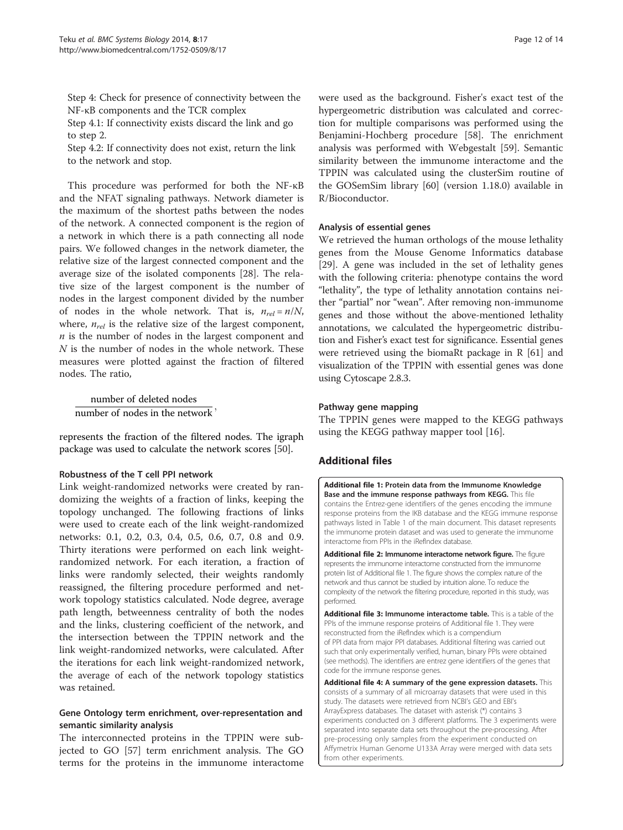<span id="page-12-0"></span>Step 4: Check for presence of connectivity between the NF-κB components and the TCR complex

Step 4.1: If connectivity exists discard the link and go to step 2.

Step 4.2: If connectivity does not exist, return the link to the network and stop.

This procedure was performed for both the NF-κB and the NFAT signaling pathways. Network diameter is the maximum of the shortest paths between the nodes of the network. A connected component is the region of a network in which there is a path connecting all node pairs. We followed changes in the network diameter, the relative size of the largest connected component and the average size of the isolated components [\[28](#page-13-0)]. The relative size of the largest component is the number of nodes in the largest component divided by the number of nodes in the whole network. That is,  $n_{rel} = n/N$ , where,  $n_{rel}$  is the relative size of the largest component,  $n$  is the number of nodes in the largest component and N is the number of nodes in the whole network. These measures were plotted against the fraction of filtered nodes. The ratio,

number of deleted nodes number of nodes in the network

represents the fraction of the filtered nodes. The igraph package was used to calculate the network scores [\[50](#page-14-0)].

#### Robustness of the T cell PPI network

Link weight-randomized networks were created by randomizing the weights of a fraction of links, keeping the topology unchanged. The following fractions of links were used to create each of the link weight-randomized networks: 0.1, 0.2, 0.3, 0.4, 0.5, 0.6, 0.7, 0.8 and 0.9. Thirty iterations were performed on each link weightrandomized network. For each iteration, a fraction of links were randomly selected, their weights randomly reassigned, the filtering procedure performed and network topology statistics calculated. Node degree, average path length, betweenness centrality of both the nodes and the links, clustering coefficient of the network, and the intersection between the TPPIN network and the link weight-randomized networks, were calculated. After the iterations for each link weight-randomized network, the average of each of the network topology statistics was retained.

#### Gene Ontology term enrichment, over-representation and semantic similarity analysis

The interconnected proteins in the TPPIN were subjected to GO [[57\]](#page-14-0) term enrichment analysis. The GO terms for the proteins in the immunome interactome

were used as the background. Fisher's exact test of the hypergeometric distribution was calculated and correction for multiple comparisons was performed using the Benjamini-Hochberg procedure [\[58](#page-14-0)]. The enrichment analysis was performed with Webgestalt [[59\]](#page-14-0). Semantic similarity between the immunome interactome and the TPPIN was calculated using the clusterSim routine of the GOSemSim library [\[60](#page-14-0)] (version 1.18.0) available in R/Bioconductor.

#### Analysis of essential genes

We retrieved the human orthologs of the mouse lethality genes from the Mouse Genome Informatics database [[29\]](#page-13-0). A gene was included in the set of lethality genes with the following criteria: phenotype contains the word "lethality", the type of lethality annotation contains neither "partial" nor "wean". After removing non-immunome genes and those without the above-mentioned lethality annotations, we calculated the hypergeometric distribution and Fisher's exact test for significance. Essential genes were retrieved using the biomaRt package in R [\[61\]](#page-14-0) and visualization of the TPPIN with essential genes was done using Cytoscape 2.8.3.

#### Pathway gene mapping

The TPPIN genes were mapped to the KEGG pathways using the KEGG pathway mapper tool [[16](#page-13-0)].

#### Additional files

[Additional file 1:](http://www.biomedcentral.com/content/supplementary/1752-0509-8-17-S1.xls) Protein data from the Immunome Knowledge Base and the immune response pathways from KEGG. This file contains the Entrez-gene identifiers of the genes encoding the immune response proteins from the IKB database and the KEGG immune response pathways listed in Table [1](#page-2-0) of the main document. This dataset represents the immunome protein dataset and was used to generate the immunome interactome from PPIs in the iRefIndex database.

[Additional file 2:](http://www.biomedcentral.com/content/supplementary/1752-0509-8-17-S2.pdf) Immunome interactome network figure. The figure represents the immunome interactome constructed from the immunome protein list of Additional file 1. The figure shows the complex nature of the network and thus cannot be studied by intuition alone. To reduce the complexity of the network the filtering procedure, reported in this study, was performed.

[Additional file 3:](http://www.biomedcentral.com/content/supplementary/1752-0509-8-17-S3.xls) Immunome interactome table. This is a table of the PPIs of the immune response proteins of Additional file 1. They were reconstructed from the iRefIndex which is a compendium of PPI data from major PPI databases. Additional filtering was carried out such that only experimentally verified, human, binary PPIs were obtained (see methods). The identifiers are entrez gene identifiers of the genes that code for the immune response genes.

[Additional file 4:](http://www.biomedcentral.com/content/supplementary/1752-0509-8-17-S4.xls) A summary of the gene expression datasets. This consists of a summary of all microarray datasets that were used in this study. The datasets were retrieved from NCBI's GEO and EBI's ArrayExpress databases. The dataset with asterisk (\*) contains 3 experiments conducted on 3 different platforms. The 3 experiments were separated into separate data sets throughout the pre-processing. After pre-processing only samples from the experiment conducted on Affymetrix Human Genome U133A Array were merged with data sets from other experiments.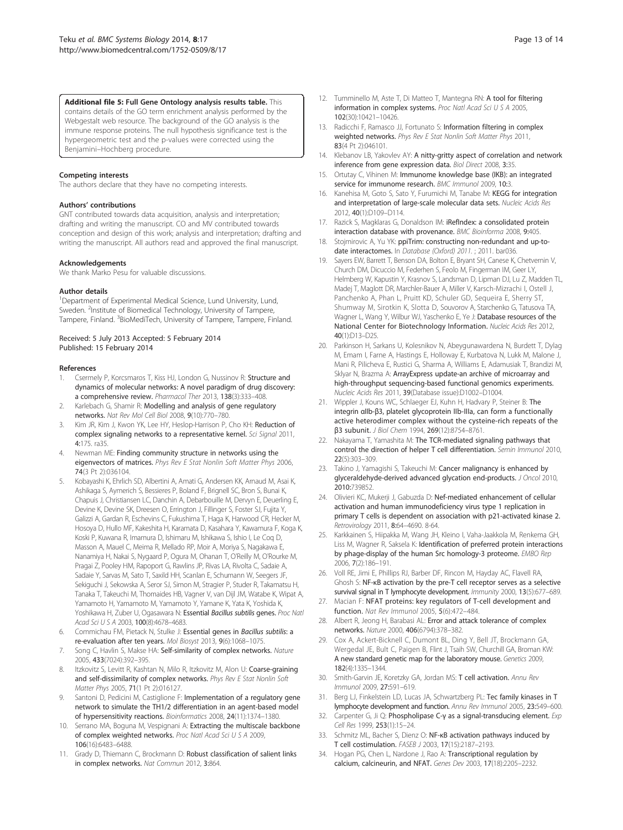#### <span id="page-13-0"></span>[Additional file 5:](http://www.biomedcentral.com/content/supplementary/1752-0509-8-17-S5.xls) Full Gene Ontology analysis results table. This

contains details of the GO term enrichment analysis performed by the Webgestalt web resource. The background of the GO analysis is the immune response proteins. The null hypothesis significance test is the hypergeometric test and the p-values were corrected using the Benjamini–Hochberg procedure.

#### Competing interests

The authors declare that they have no competing interests.

#### Authors' contributions

GNT contributed towards data acquisition, analysis and interpretation; drafting and writing the manuscript. CO and MV contributed towards conception and design of this work; analysis and interpretation; drafting and writing the manuscript. All authors read and approved the final manuscript.

#### Acknowledgements

We thank Marko Pesu for valuable discussions.

#### Author details

<sup>1</sup>Department of Experimental Medical Science, Lund University, Lund, Sweden. <sup>2</sup>Institute of Biomedical Technology, University of Tampere, Tampere, Finland. <sup>3</sup>BioMediTech, University of Tampere, Tampere, Finland.

#### Received: 5 July 2013 Accepted: 5 February 2014 Published: 15 February 2014

#### References

- 1. Csermely P, Korcsmaros T, Kiss HJ, London G, Nussinov R: Structure and dynamics of molecular networks: A novel paradigm of drug discovery: a comprehensive review. Pharmacol Ther 2013, 138(3):333–408.
- 2. Karlebach G, Shamir R: Modelling and analysis of gene regulatory networks. Nat Rev Mol Cell Biol 2008, 9(10):770–780.
- 3. Kim JR, Kim J, Kwon YK, Lee HY, Heslop-Harrison P, Cho KH: Reduction of complex signaling networks to a representative kernel. Sci Signal 2011, 4:175. ra35.
- 4. Newman ME: Finding community structure in networks using the eigenvectors of matrices. Phys Rev E Stat Nonlin Soft Matter Phys 2006, 74(3 Pt 2):036104.
- Kobayashi K, Ehrlich SD, Albertini A, Amati G, Andersen KK, Arnaud M, Asai K, Ashikaga S, Aymerich S, Bessieres P, Boland F, Brignell SC, Bron S, Bunai K, Chapuis J, Christiansen LC, Danchin A, Debarbouille M, Dervyn E, Deuerling E, Devine K, Devine SK, Dreesen O, Errington J, Fillinger S, Foster SJ, Fujita Y, Galizzi A, Gardan R, Eschevins C, Fukushima T, Haga K, Harwood CR, Hecker M, Hosoya D, Hullo MF, Kakeshita H, Karamata D, Kasahara Y, Kawamura F, Koga K, Koski P, Kuwana R, Imamura D, Ishimaru M, Ishikawa S, Ishio I, Le Coq D, Masson A, Mauel C, Meima R, Mellado RP, Moir A, Moriya S, Nagakawa E, Nanamiya H, Nakai S, Nygaard P, Ogura M, Ohanan T, O'Reilly M, O'Rourke M, Pragai Z, Pooley HM, Rapoport G, Rawlins JP, Rivas LA, Rivolta C, Sadaie A, Sadaie Y, Sarvas M, Sato T, Saxild HH, Scanlan E, Schumann W, Seegers JF, Sekiguchi J, Sekowska A, Seror SJ, Simon M, Stragier P, Studer R, Takamatsu H, Tanaka T, Takeuchi M, Thomaides HB, Vagner V, van Dijl JM, Watabe K, Wipat A, Yamamoto H, Yamamoto M, Yamamoto Y, Yamane K, Yata K, Yoshida K, Yoshikawa H, Zuber U, Ogasawara N: Essential Bacillus subtilis genes. Proc Natl Acad Sci U S A 2003, 100(8):4678–4683.
- 6. Commichau FM, Pietack N, Stulke J: Essential genes in Bacillus subtilis: a re-evaluation after ten years. Mol Biosyst 2013, 9(6):1068–1075.
- 7. Song C, Havlin S, Makse HA: Self-similarity of complex networks. Nature 2005, 433(7024):392–395.
- 8. Itzkovitz S, Levitt R, Kashtan N, Milo R, Itzkovitz M, Alon U: Coarse-graining and self-dissimilarity of complex networks. Phys Rev E Stat Nonlin Soft Matter Phys 2005, 71(1 Pt 2):016127.
- 9. Santoni D, Pedicini M, Castiglione F: Implementation of a regulatory gene network to simulate the TH1/2 differentiation in an agent-based model of hypersensitivity reactions. Bioinformatics 2008, 24(11):1374–1380.
- 10. Serrano MA, Boguna M, Vespignani A: Extracting the multiscale backbone of complex weighted networks. Proc Natl Acad Sci U S A 2009, 106(16):6483–6488.
- 11. Grady D, Thiemann C, Brockmann D: Robust classification of salient links in complex networks. Nat Commun 2012, 3:864.
- 12. Tumminello M, Aste T, Di Matteo T, Mantegna RN: A tool for filtering information in complex systems. Proc Natl Acad Sci U S A 2005, 102(30):10421–10426.
- 13. Radicchi F, Ramasco JJ, Fortunato S: Information filtering in complex weighted networks. Phys Rev E Stat Nonlin Soft Matter Phys 2011, 83(4 Pt 2):046101.
- 14. Klebanov LB, Yakovlev AY: A nitty-gritty aspect of correlation and network inference from gene expression data. Biol Direct 2008, 3:35.
- 15. Ortutay C, Vihinen M: Immunome knowledge base (IKB): an integrated service for immunome research. BMC Immunol 2009, 10:3.
- 16. Kanehisa M, Goto S, Sato Y, Furumichi M, Tanabe M: KEGG for integration and interpretation of large-scale molecular data sets. Nucleic Acids Res 2012, 40(1):D109–D114.
- 17. Razick S, Magklaras G, Donaldson IM: iRefIndex: a consolidated protein interaction database with provenance. BMC Bioinforma 2008, 9:405.
- 18. Stoimirovic A, Yu YK: ppiTrim: constructing non-redundant and up-todate interactomes. In Database (Oxford) 2011. ; 2011. bar036.
- 19. Sayers EW, Barrett T, Benson DA, Bolton E, Bryant SH, Canese K, Chetvernin V, Church DM, Dicuccio M, Federhen S, Feolo M, Fingerman IM, Geer LY, Helmberg W, Kapustin Y, Krasnov S, Landsman D, Lipman DJ, Lu Z, Madden TL, Madej T, Maglott DR, Marchler-Bauer A, Miller V, Karsch-Mizrachi I, Ostell J, Panchenko A, Phan L, Pruitt KD, Schuler GD, Sequeira E, Sherry ST, Shumway M, Sirotkin K, Slotta D, Souvorov A, Starchenko G, Tatusova TA, Wagner L, Wang Y, Wilbur WJ, Yaschenko E, Ye J: Database resources of the National Center for Biotechnology Information. Nucleic Acids Res 2012, 40(1):D13–D25.
- 20. Parkinson H, Sarkans U, Kolesnikov N, Abeygunawardena N, Burdett T, Dylag M, Emam I, Farne A, Hastings E, Holloway E, Kurbatova N, Lukk M, Malone J, Mani R, Pilicheva E, Rustici G, Sharma A, Williams E, Adamusiak T, Brandizi M, Sklyar N, Brazma A: ArrayExpress update-an archive of microarray and high-throughput sequencing-based functional genomics experiments. Nucleic Acids Res 2011, 39(Database issue):D1002–D1004.
- 21. Wippler J, Kouns WC, Schlaeger EJ, Kuhn H, Hadvary P, Steiner B: The integrin αIIb-β3, platelet glycoprotein IIb-IIIa, can form a functionally active heterodimer complex without the cysteine-rich repeats of the β3 subunit. J Biol Chem 1994, 269(12):8754–8761.
- 22. Nakayama T, Yamashita M: The TCR-mediated signaling pathways that control the direction of helper T cell differentiation. Semin Immunol 2010, 22(5):303–309.
- 23. Takino J, Yamagishi S, Takeuchi M: Cancer malignancy is enhanced by glyceraldehyde-derived advanced glycation end-products. J Oncol 2010, 2010:739852.
- 24. Olivieri KC, Mukerji J, Gabuzda D: Nef-mediated enhancement of cellular activation and human immunodeficiency virus type 1 replication in primary T cells is dependent on association with p21-activated kinase 2. Retrovirology 2011, 8:64–4690. 8-64.
- 25. Karkkainen S, Hiipakka M, Wang JH, Kleino I, Vaha-Jaakkola M, Renkema GH, Liss M, Wagner R, Saksela K: Identification of preferred protein interactions by phage-display of the human Src homology-3 proteome. EMBO Rep 2006, 7(2):186–191.
- 26. Voll RE, Jimi E, Phillips RJ, Barber DF, Rincon M, Hayday AC, Flavell RA, Ghosh S: NF-κB activation by the pre-T cell receptor serves as a selective survival signal in T lymphocyte development. Immunity 2000, 13(5):677–689.
- 27. Macian F: NFAT proteins: key regulators of T-cell development and function. Nat Rev Immunol 2005, 5(6):472–484.
- 28. Albert R, Jeong H, Barabasi AL: Error and attack tolerance of complex networks. Nature 2000, 406(6794):378–382.
- 29. Cox A, Ackert-Bicknell C, Dumont BL, Ding Y, Bell JT, Brockmann GA, Wergedal JE, Bult C, Paigen B, Flint J, Tsaih SW, Churchill GA, Broman KW: A new standard genetic map for the laboratory mouse. Genetics 2009, 182(4):1335–1344.
- 30. Smith-Garvin JE, Koretzky GA, Jordan MS: T cell activation. Annu Rev Immunol 2009, 27:591–619.
- 31. Berg LJ, Finkelstein LD, Lucas JA, Schwartzberg PL: Tec family kinases in T lymphocyte development and function. Annu Rev Immunol 2005, 23:549–600.
- 32. Carpenter G, Ji Q: Phospholipase C-γ as a signal-transducing element. Exp Cell Res 1999, 253(1):15–24.
- 33. Schmitz ML, Bacher S, Dienz O: NF-κB activation pathways induced by T cell costimulation. FASEB J 2003, 17(15):2187–2193.
- 34. Hogan PG, Chen L, Nardone J, Rao A: Transcriptional regulation by calcium, calcineurin, and NFAT. Genes Dev 2003, 17(18):2205–2232.